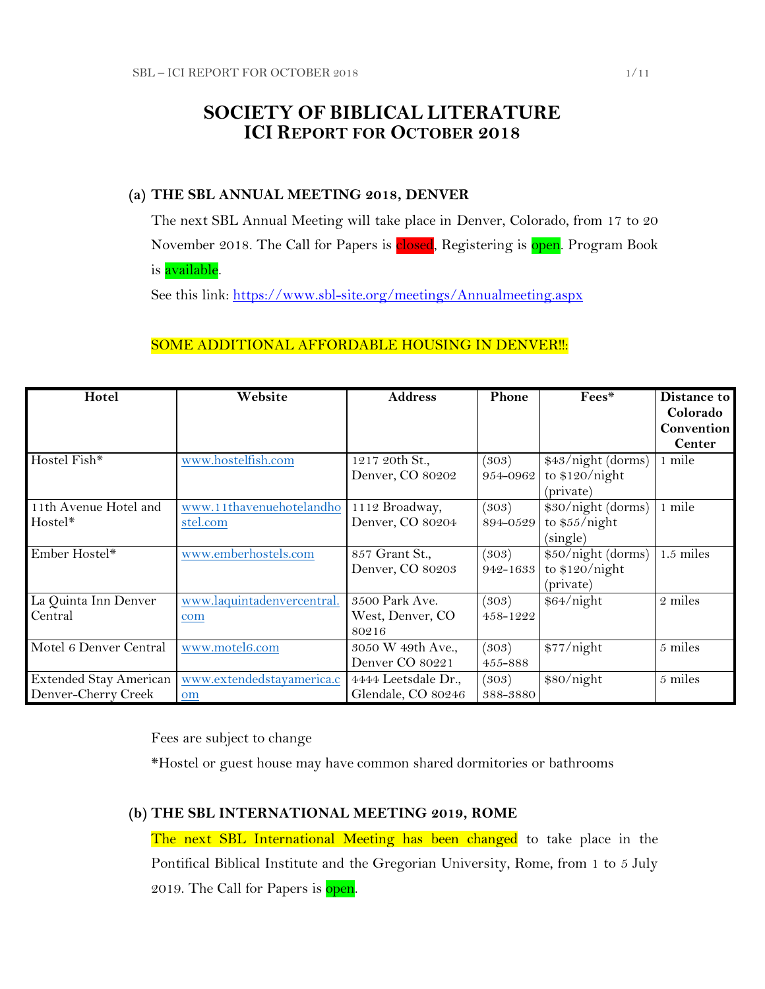# **SOCIETY OF BIBLICAL LITERATURE ICI REPORT FOR OCTOBER 2018**

## **(a) THE SBL ANNUAL MEETING 2018, DENVER**

The next SBL Annual Meeting will take place in Denver, Colorado, from 17 to 20 November 2018. The Call for Papers is **closed**, Registering is open. Program Book is available.

See this link:<https://www.sbl-site.org/meetings/Annualmeeting.aspx>

# SOME ADDITIONAL AFFORDABLE HOUSING IN DENVER !!:

| Hotel                  | Website                    | <b>Address</b>      | Phone    | Fees*              | Distance to   |
|------------------------|----------------------------|---------------------|----------|--------------------|---------------|
|                        |                            |                     |          |                    | Colorado      |
|                        |                            |                     |          |                    | Convention    |
|                        |                            |                     |          |                    | <b>Center</b> |
| Hostel Fish*           | www.hostelfish.com         | 1217 20th St.,      | (303)    | \$43/night (dorms) | 1 mile        |
|                        |                            | Denver, CO 80202    | 954-0962 | to $$120/night$    |               |
|                        |                            |                     |          | (private)          |               |
| 11th Avenue Hotel and  | www.11thavenuehotelandho   | 1112 Broadway,      | (303)    | \$30/night (dorms) | 1 mile        |
| Hostel*                | stel.com                   | Denver, CO 80204    | 894-0529 | to $$55/night$     |               |
|                        |                            |                     |          | (single)           |               |
| Ember Hostel*          | www.emberhostels.com       | 857 Grant St.,      | (303)    | \$50/night (dorms) | $1.5$ miles   |
|                        |                            | Denver, CO 80203    | 942-1633 | to $$120/night$    |               |
|                        |                            |                     |          | (private)          |               |
| La Quinta Inn Denver   | www.laquintadenvercentral. | 3500 Park Ave.      | (303)    | \$64/night         | 2 miles       |
| Central                | com                        | West, Denver, CO    | 458-1222 |                    |               |
|                        |                            | 80216               |          |                    |               |
| Motel 6 Denver Central | www.motel6.com             | 3050 W 49th Ave.,   | (303)    | \$77/night         | 5 miles       |
|                        |                            | Denver CO 80221     | 455-888  |                    |               |
| Extended Stay American | www.extendedstayamerica.c  | 4444 Leetsdale Dr., | (303)    | \$80/night         | 5 miles       |
| Denver-Cherry Creek    | om                         | Glendale, CO 80246  | 388-3880 |                    |               |

Fees are subject to change

\*Hostel or guest house may have common shared dormitories or bathrooms

## **(b) THE SBL INTERNATIONAL MEETING 2019, ROME**

The next SBL International Meeting has been changed to take place in the Pontifical Biblical Institute and the Gregorian University, Rome, from 1 to 5 July 2019. The Call for Papers is open.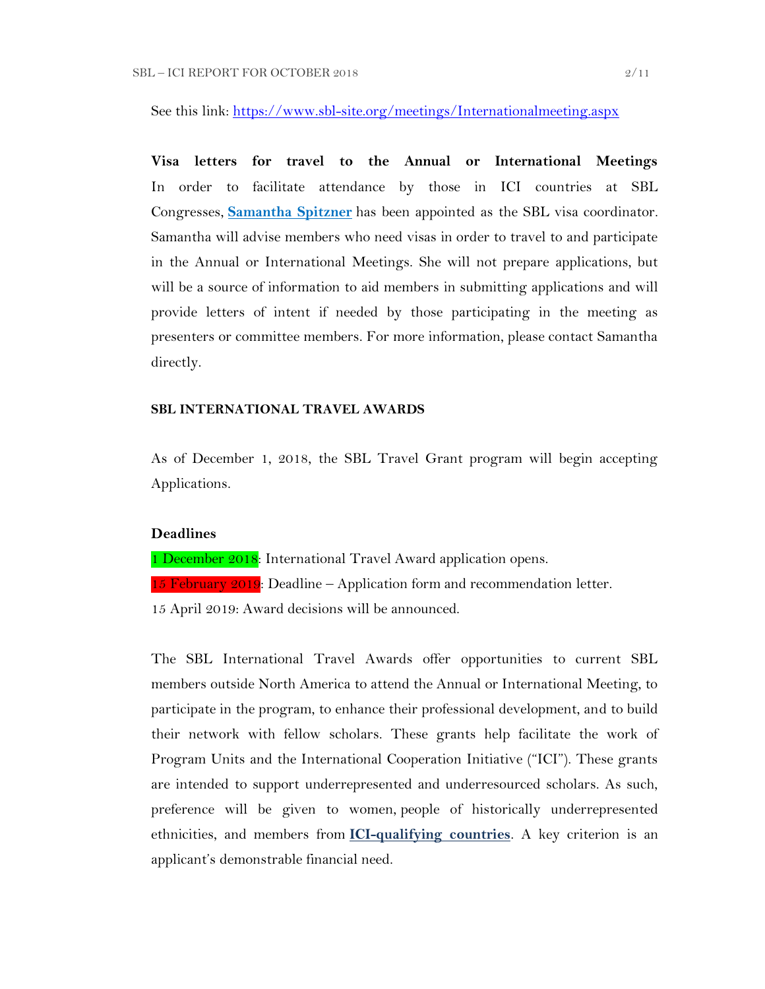See this link:<https://www.sbl-site.org/meetings/Internationalmeeting.aspx>

**Visa letters for travel to the Annual or International Meetings** In order to facilitate attendance by those in ICI countries at SBL Congresses, **[Samantha Spitzner](mailto:samantha.spitzner@sbl-site.org)** has been appointed as the SBL visa coordinator. Samantha will advise members who need visas in order to travel to and participate in the Annual or International Meetings. She will not prepare applications, but will be a source of information to aid members in submitting applications and will provide letters of intent if needed by those participating in the meeting as presenters or committee members. For more information, please contact Samantha directly.

## **SBL INTERNATIONAL TRAVEL AWARDS**

As of December 1, 2018, the SBL Travel Grant program will begin accepting Applications.

#### **Deadlines**

1 December 2018: International Travel Award application opens.

15 February  $2019$ : Deadline – Application form and recommendation letter.

15 April 2019: Award decisions will be announced.

The SBL International Travel Awards offer opportunities to current SBL members outside North America to attend the Annual or International Meeting, to participate in the program, to enhance their professional development, and to build their network with fellow scholars. These grants help facilitate the work of Program Units and the International Cooperation Initiative ("ICI"). These grants are intended to support underrepresented and underresourced scholars. As such, preference will be given to women, people of historically underrepresented ethnicities, and members from **[ICI-qualifying countries](https://www.sbl-site.org/assets/pdfs/ICIcountries.pdf)**. A key criterion is an applicant's demonstrable financial need.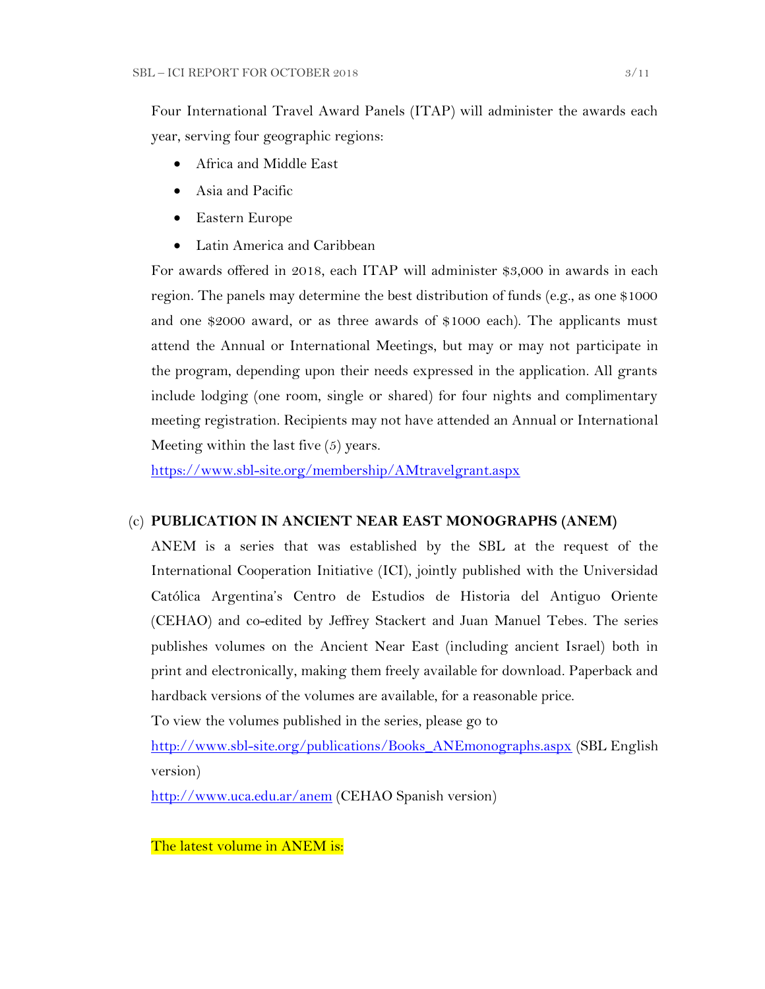Four International Travel Award Panels (ITAP) will administer the awards each year, serving four geographic regions:

- Africa and Middle East
- Asia and Pacific
- Eastern Europe
- Latin America and Caribbean

For awards offered in 2018, each ITAP will administer \$3,000 in awards in each region. The panels may determine the best distribution of funds (e.g., as one \$1000 and one \$2000 award, or as three awards of \$1000 each). The applicants must attend the Annual or International Meetings, but may or may not participate in the program, depending upon their needs expressed in the application. All grants include lodging (one room, single or shared) for four nights and complimentary meeting registration. Recipients may not have attended an Annual or International Meeting within the last five (5) years.

<https://www.sbl-site.org/membership/AMtravelgrant.aspx>

## (c) **PUBLICATION IN [ANCIENT NEAR EAST MONOGRAPHS](http://www.sbl-site.org/publications/Books_ANEmonographs.aspx) (ANEM)**

ANEM is a series that was established by the SBL at the request of the International Cooperation Initiative (ICI), jointly published with the Universidad Católica Argentina's Centro de Estudios de Historia del Antiguo Oriente (CEHAO) and co-edited by Jeffrey Stackert and Juan Manuel Tebes. The series publishes volumes on the Ancient Near East (including ancient Israel) both in print and electronically, making them freely available for download. Paperback and hardback versions of the volumes are available, for a reasonable price.

To view the volumes published in the series, please go to

[http://www.sbl-site.org/publications/Books\\_ANEmonographs.aspx](http://www.sbl-site.org/publications/Books_ANEmonographs.aspx) (SBL English version)

<http://www.uca.edu.ar/anem> (CEHAO Spanish version)

The latest volume in ANEM is: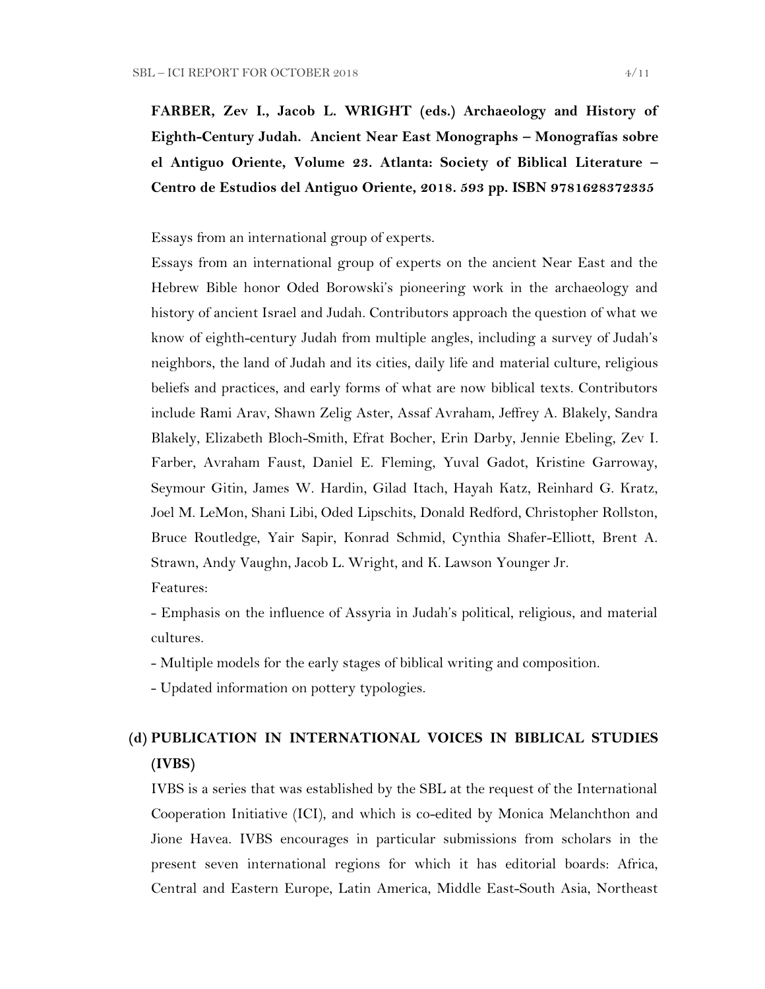**FARBER, Zev I., Jacob L. WRIGHT (eds.) Archaeology and History of Eighth-Century Judah. Ancient Near East Monographs – Monografías sobre el Antiguo Oriente, Volume 23. Atlanta: Society of Biblical Literature – Centro de Estudios del Antiguo Oriente, 2018. 593 pp. ISBN 9781628372335**

Essays from an international group of experts.

Essays from an international group of experts on the ancient Near East and the Hebrew Bible honor Oded Borowski's pioneering work in the archaeology and history of ancient Israel and Judah. Contributors approach the question of what we know of eighth-century Judah from multiple angles, including a survey of Judah's neighbors, the land of Judah and its cities, daily life and material culture, religious beliefs and practices, and early forms of what are now biblical texts. Contributors include Rami Arav, Shawn Zelig Aster, Assaf Avraham, Jeffrey A. Blakely, Sandra Blakely, Elizabeth Bloch-Smith, Efrat Bocher, Erin Darby, Jennie Ebeling, Zev I. Farber, Avraham Faust, Daniel E. Fleming, Yuval Gadot, Kristine Garroway, Seymour Gitin, James W. Hardin, Gilad Itach, Hayah Katz, Reinhard G. Kratz, Joel M. LeMon, Shani Libi, Oded Lipschits, Donald Redford, Christopher Rollston, Bruce Routledge, Yair Sapir, Konrad Schmid, Cynthia Shafer-Elliott, Brent A. Strawn, Andy Vaughn, Jacob L. Wright, and K. Lawson Younger Jr.

Features:

- Emphasis on the influence of Assyria in Judah's political, religious, and material cultures.

- Multiple models for the early stages of biblical writing and composition.

- Updated information on pottery typologies.

# **(d) PUBLICATION IN INTERNATIONAL VOICES IN BIBLICAL STUDIES (IVBS)**

IVBS is a series that was established by the SBL at the request of the International Cooperation Initiative (ICI), and which is co-edited by Monica Melanchthon and Jione Havea. IVBS encourages in particular submissions from scholars in the present seven international regions for which it has editorial boards: Africa, Central and Eastern Europe, Latin America, Middle East-South Asia, Northeast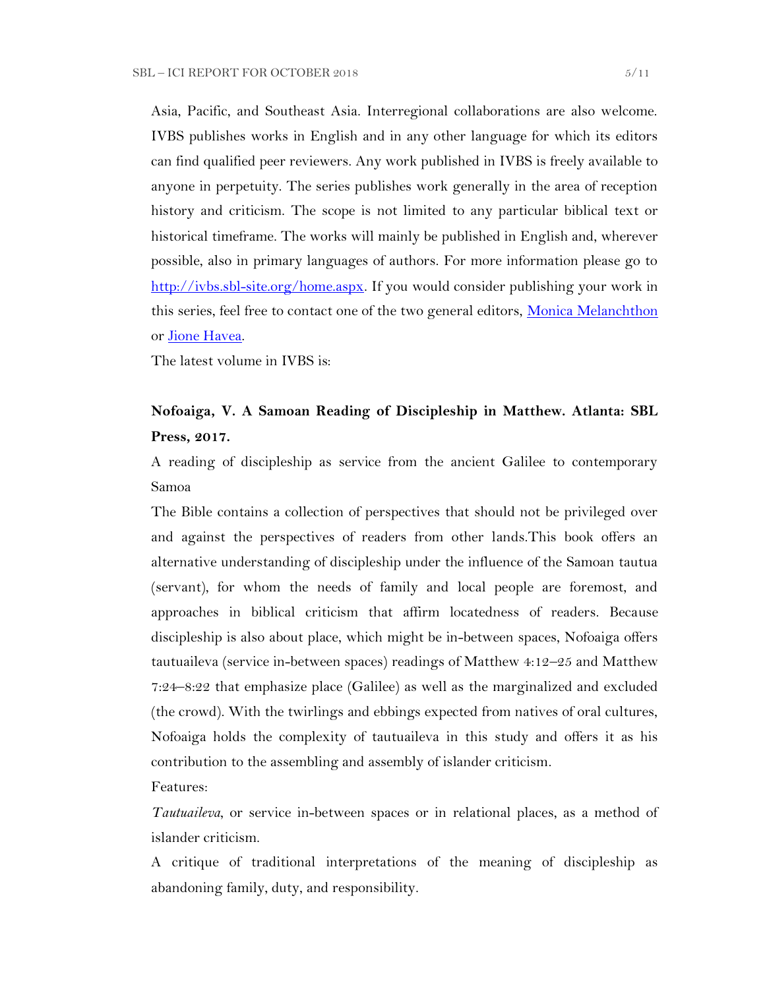Asia, Pacific, and Southeast Asia. Interregional collaborations are also welcome. IVBS publishes works in English and in any other language for which its editors can find qualified peer reviewers. Any work published in IVBS is freely available to anyone in perpetuity. The series publishes work generally in the area of reception history and criticism. The scope is not limited to any particular biblical text or historical timeframe. The works will mainly be published in English and, wherever possible, also in primary languages of authors. For more information please go to [http://ivbs.sbl-site.org/home.aspx.](http://ivbs.sbl-site.org/home.aspx) If you would consider publishing your work in this series, feel free to contact one of the two general editors, [Monica Melanchthon](mailto:ivbs2010@gmail.com) or [Jione Havea.](mailto:jioneh@nsw.uca.org.au)

The latest volume in IVBS is:

# **Nofoaiga, V. A Samoan Reading of Discipleship in Matthew. Atlanta: SBL Press, 2017.**

A reading of discipleship as service from the ancient Galilee to contemporary Samoa

The Bible contains a collection of perspectives that should not be privileged over and against the perspectives of readers from other lands.This book offers an alternative understanding of discipleship under the influence of the Samoan tautua (servant), for whom the needs of family and local people are foremost, and approaches in biblical criticism that affirm locatedness of readers. Because discipleship is also about place, which might be in-between spaces, Nofoaiga offers tautuaileva (service in-between spaces) readings of Matthew 4:12–25 and Matthew 7:24–8:22 that emphasize place (Galilee) as well as the marginalized and excluded (the crowd). With the twirlings and ebbings expected from natives of oral cultures, Nofoaiga holds the complexity of tautuaileva in this study and offers it as his contribution to the assembling and assembly of islander criticism.

Features:

*Tautuaileva*, or service in-between spaces or in relational places, as a method of islander criticism.

A critique of traditional interpretations of the meaning of discipleship as abandoning family, duty, and responsibility.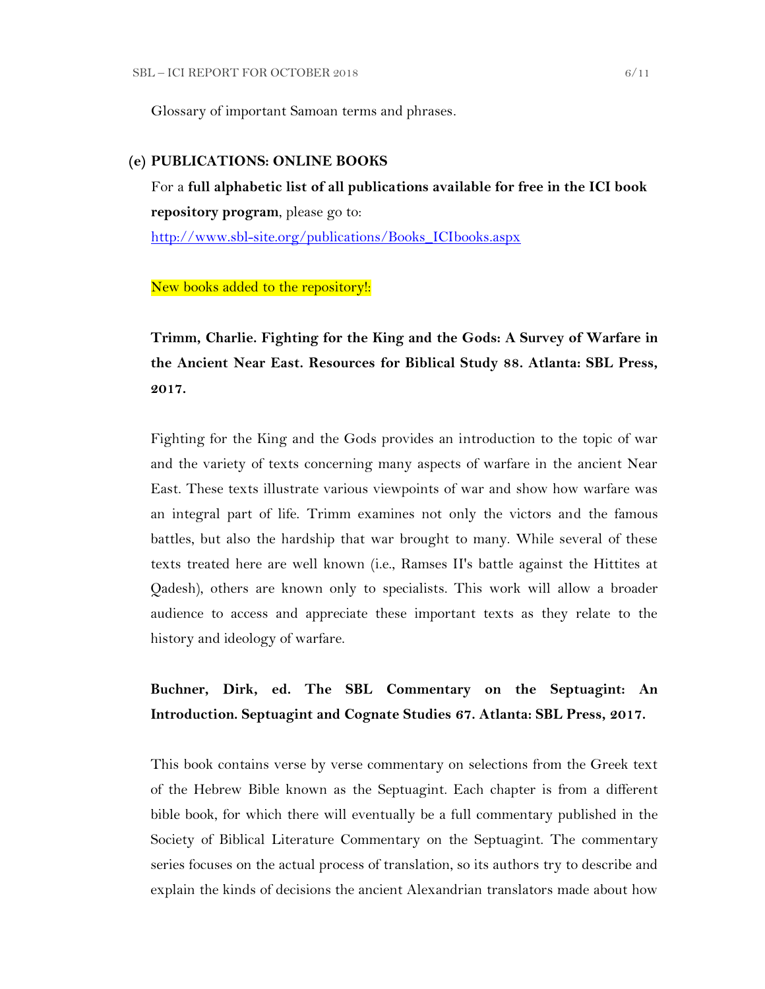Glossary of important Samoan terms and phrases.

### **(e) PUBLICATIONS: ONLINE BOOKS**

For a **full alphabetic list of all publications available for free in the ICI book repository program**, please go to:

[http://www.sbl-site.org/publications/Books\\_ICIbooks.aspx](http://www.sbl-site.org/publications/Books_ICIbooks.aspx)

New books added to the repository!:

**Trimm, Charlie. Fighting for the King and the Gods: A Survey of Warfare in the Ancient Near East. Resources for Biblical Study 88. Atlanta: SBL Press, 2017.**

Fighting for the King and the Gods provides an introduction to the topic of war and the variety of texts concerning many aspects of warfare in the ancient Near East. These texts illustrate various viewpoints of war and show how warfare was an integral part of life. Trimm examines not only the victors and the famous battles, but also the hardship that war brought to many. While several of these texts treated here are well known (i.e., Ramses II's battle against the Hittites at Qadesh), others are known only to specialists. This work will allow a broader audience to access and appreciate these important texts as they relate to the history and ideology of warfare.

# **Buchner, Dirk, ed. The SBL Commentary on the Septuagint: An Introduction. Septuagint and Cognate Studies 67. Atlanta: SBL Press, 2017.**

This book contains verse by verse commentary on selections from the Greek text of the Hebrew Bible known as the Septuagint. Each chapter is from a different bible book, for which there will eventually be a full commentary published in the Society of Biblical Literature Commentary on the Septuagint. The commentary series focuses on the actual process of translation, so its authors try to describe and explain the kinds of decisions the ancient Alexandrian translators made about how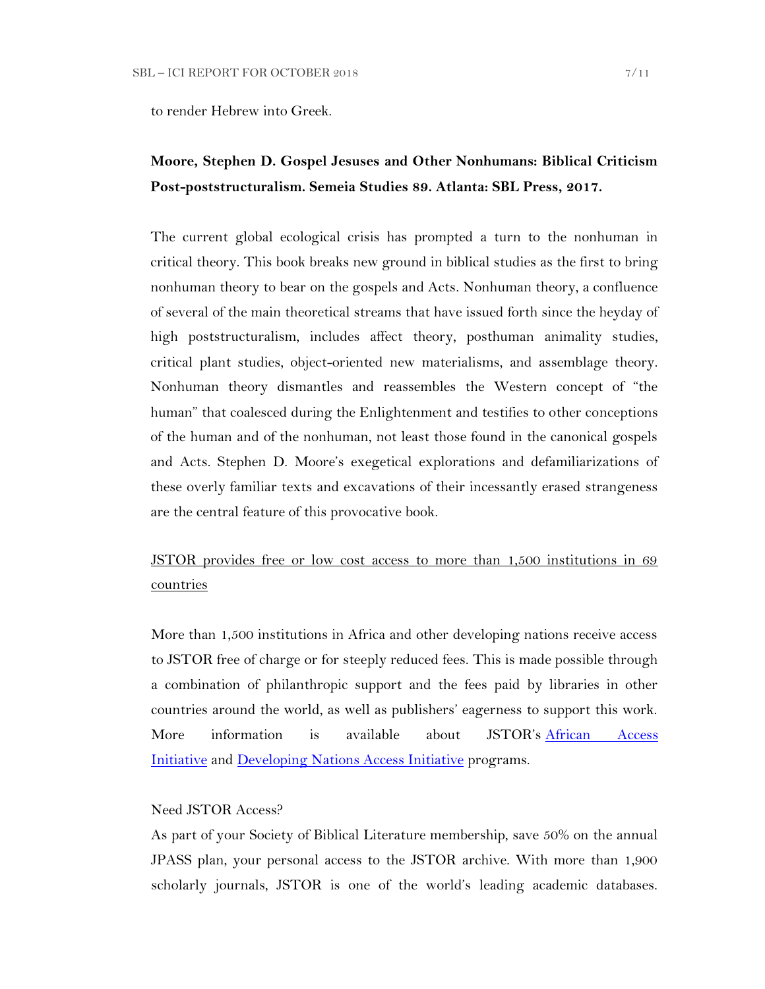to render Hebrew into Greek.

# **Moore, Stephen D. Gospel Jesuses and Other Nonhumans: Biblical Criticism Post-poststructuralism. Semeia Studies 89. Atlanta: SBL Press, 2017.**

The current global ecological crisis has prompted a turn to the nonhuman in critical theory. This book breaks new ground in biblical studies as the first to bring nonhuman theory to bear on the gospels and Acts. Nonhuman theory, a confluence of several of the main theoretical streams that have issued forth since the heyday of high poststructuralism, includes affect theory, posthuman animality studies, critical plant studies, object-oriented new materialisms, and assemblage theory. Nonhuman theory dismantles and reassembles the Western concept of "the human" that coalesced during the Enlightenment and testifies to other conceptions of the human and of the nonhuman, not least those found in the canonical gospels and Acts. Stephen D. Moore's exegetical explorations and defamiliarizations of these overly familiar texts and excavations of their incessantly erased strangeness are the central feature of this provocative book.

# JSTOR provides free or low cost access to more than 1,500 institutions in 69 countries

More than 1,500 institutions in Africa and other developing nations receive access to JSTOR free of charge or for steeply reduced fees. This is made possible through a combination of philanthropic support and the fees paid by libraries in other countries around the world, as well as publishers' eagerness to support this work. More information is available about JSTOR's [African Access](http://about.jstor.org/libraries/african-access-initiative)  [Initiative](http://about.jstor.org/libraries/african-access-initiative) and [Developing Nations Access Initiative](http://about.jstor.org/libraries/developing-nations-access-initiative) programs.

## Need JSTOR Access?

As part of your Society of Biblical Literature membership, save 50% on the annual JPASS plan, your personal access to the JSTOR archive. With more than 1,900 scholarly journals, JSTOR is one of the world's leading academic databases.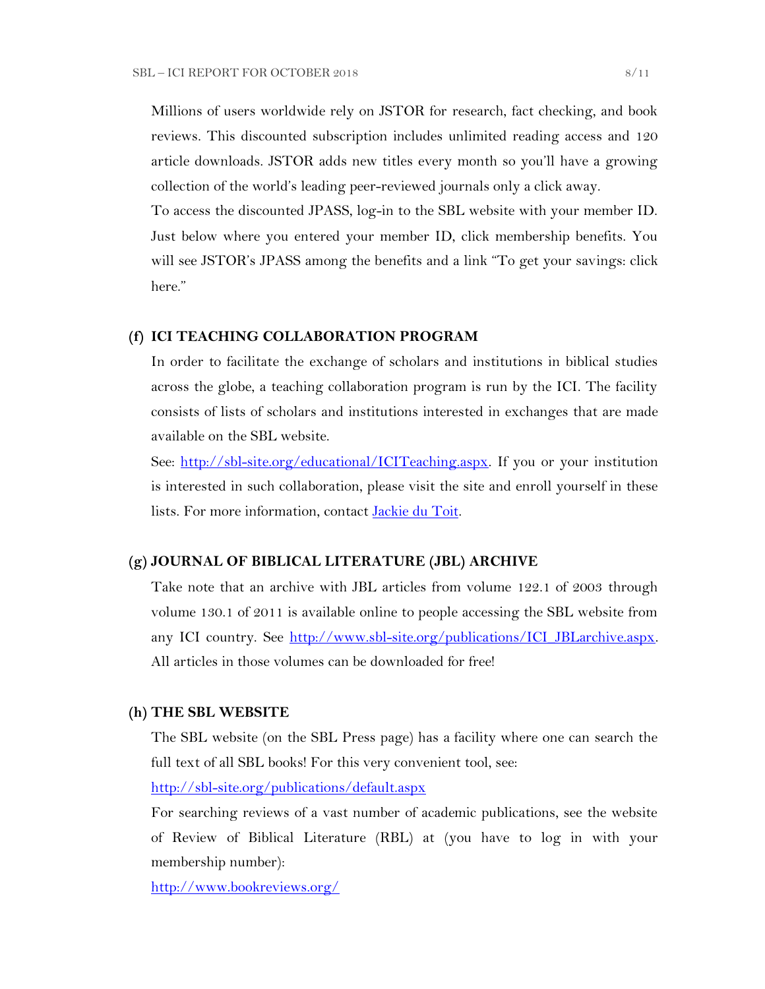Millions of users worldwide rely on JSTOR for research, fact checking, and book reviews. This discounted subscription includes unlimited reading access and 120 article downloads. JSTOR adds new titles every month so you'll have a growing collection of the world's leading peer-reviewed journals only a click away.

To access the discounted JPASS, log-in to the SBL website with your member ID. Just below where you entered your member ID, click membership benefits. You will see JSTOR's JPASS among the benefits and a link "To get your savings: click here."

### **(f) ICI TEACHING COLLABORATION PROGRAM**

In order to facilitate the exchange of scholars and institutions in biblical studies across the globe, a teaching collaboration program is run by the ICI. The facility consists of lists of scholars and institutions interested in exchanges that are made available on the SBL website.

See: [http://sbl-site.org/educational/ICITeaching.aspx.](http://sbl-site.org/educational/ICITeaching.aspx) If you or your institution is interested in such collaboration, please visit the site and enroll yourself in these lists. For more information, contact [Jackie du Toit.](mailto:dutoitjs@ufs.ac.za)

#### **(g) JOURNAL OF BIBLICAL LITERATURE (JBL) ARCHIVE**

Take note that an archive with JBL articles from volume 122.1 of 2003 through volume 130.1 of 2011 is available online to people accessing the SBL website from any ICI country. See http://www.sbl-site.org/publications/ICI\_JBLarchive.aspx. All articles in those volumes can be downloaded for free!

#### **(h) THE SBL WEBSITE**

The SBL website (on the SBL Press page) has a facility where one can search the full text of all SBL books! For this very convenient tool, see:

<http://sbl-site.org/publications/default.aspx>

For searching reviews of a vast number of academic publications, see the website of Review of Biblical Literature (RBL) at (you have to log in with your membership number):

<http://www.bookreviews.org/>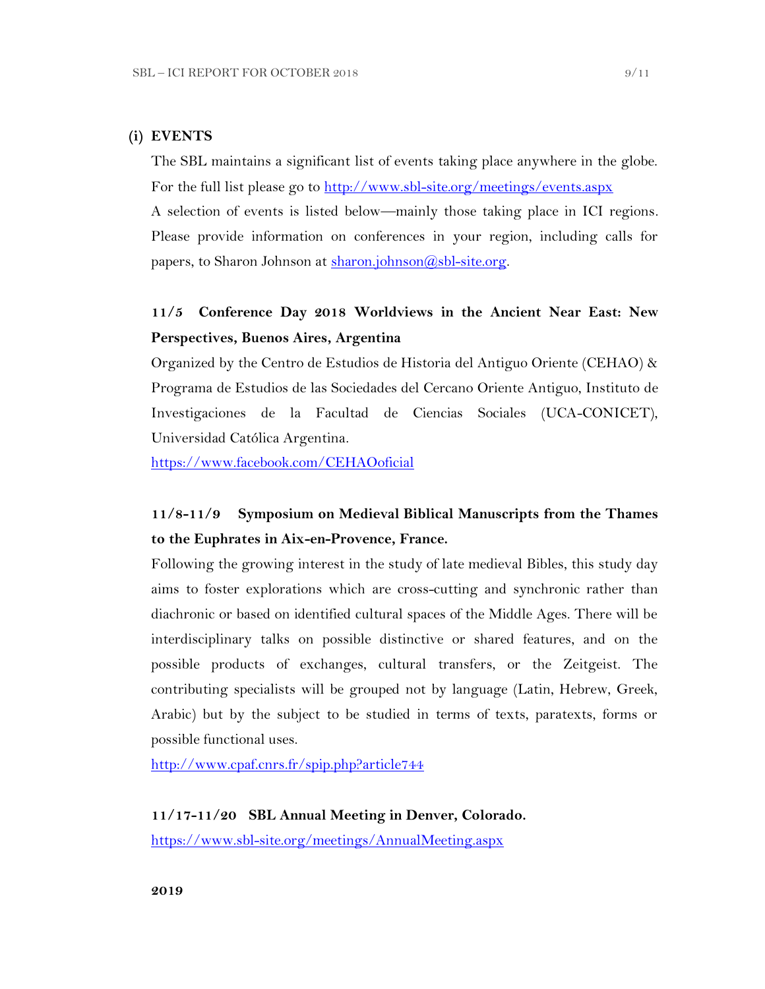## **(i) EVENTS**

The SBL maintains a significant list of events taking place anywhere in the globe. For the full list please go to<http://www.sbl-site.org/meetings/events.aspx> A selection of events is listed below—mainly those taking place in ICI regions. Please provide information on conferences in your region, including calls for

papers, to Sharon Johnson at  $\frac{\text{sharon.}(\partial s\text{bl-site.} \text{or} \text{g.})}{\text{shol.} \text{f.}}$ 

# **11/5 Conference Day 2018 Worldviews in the Ancient Near East: New Perspectives, Buenos Aires, Argentina**

Organized by the Centro de Estudios de Historia del Antiguo Oriente (CEHAO) & Programa de Estudios de las Sociedades del Cercano Oriente Antiguo, Instituto de Investigaciones de la Facultad de Ciencias Sociales (UCA-CONICET), Universidad Católica Argentina.

<https://www.facebook.com/CEHAOoficial>

# **11/8-11/9 Symposium on Medieval Biblical Manuscripts from the Thames to the Euphrates in Aix-en-Provence, France.**

Following the growing interest in the study of late medieval Bibles, this study day aims to foster explorations which are cross-cutting and synchronic rather than diachronic or based on identified cultural spaces of the Middle Ages. There will be interdisciplinary talks on possible distinctive or shared features, and on the possible products of exchanges, cultural transfers, or the Zeitgeist. The contributing specialists will be grouped not by language (Latin, Hebrew, Greek, Arabic) but by the subject to be studied in terms of texts, paratexts, forms or possible functional uses.

<http://www.cpaf.cnrs.fr/spip.php?article744>

#### **11/17-11/20 SBL Annual Meeting in Denver, Colorado.**

<https://www.sbl-site.org/meetings/AnnualMeeting.aspx>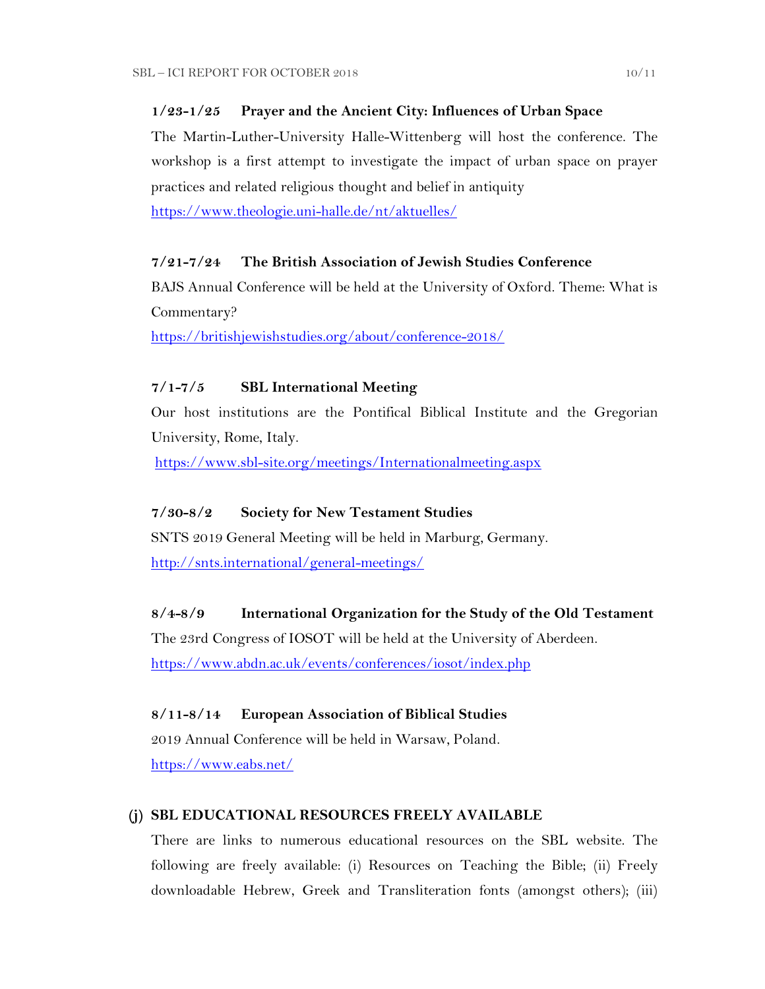## **1/23-1/25 Prayer and the Ancient City: Influences of Urban Space**

The Martin-Luther-University Halle-Wittenberg will host the conference. The workshop is a first attempt to investigate the impact of urban space on prayer practices and related religious thought and belief in antiquity

<https://www.theologie.uni-halle.de/nt/aktuelles/>

## **7/21-7/24 The British Association of Jewish Studies Conference**

BAJS Annual Conference will be held at the University of Oxford. Theme: What is Commentary?

<https://britishjewishstudies.org/about/conference-2018/>

# **7/1-7/5 SBL International Meeting**

Our host institutions are the Pontifical Biblical Institute and the Gregorian University, Rome, Italy.

<https://www.sbl-site.org/meetings/Internationalmeeting.aspx>

### **7/30-8/2 Society for New Testament Studies**

SNTS 2019 General Meeting will be held in Marburg, Germany.

<http://snts.international/general-meetings/>

## **8/4-8/9 International Organization for the Study of the Old Testament**

The 23rd Congress of IOSOT will be held at the University of Aberdeen. <https://www.abdn.ac.uk/events/conferences/iosot/index.php>

### **8/11-8/14 European Association of Biblical Studies**

2019 Annual Conference will be held in Warsaw, Poland. <https://www.eabs.net/>

### **(j) SBL EDUCATIONAL RESOURCES FREELY AVAILABLE**

There are links to numerous educational resources on the SBL website. The following are freely available: (i) Resources on Teaching the Bible; (ii) Freely downloadable Hebrew, Greek and Transliteration fonts (amongst others); (iii)